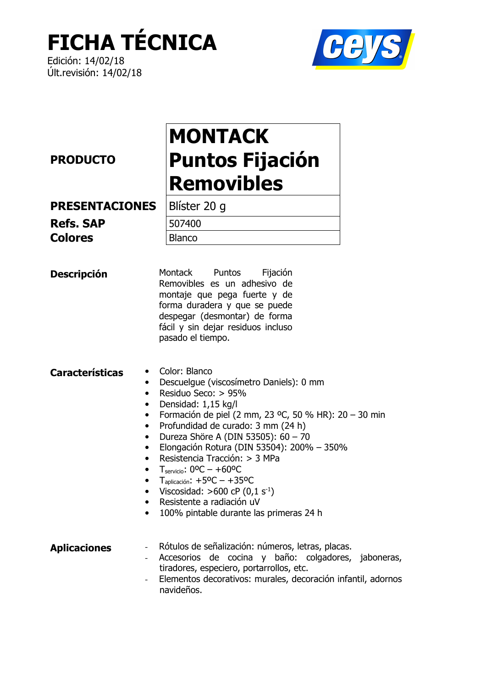## **FICHA TÉCNICA**

Edición: 14/02/18 Últ.revisión: 14/02/18



### **PRODUCTO**

## **MONTACK Puntos Fijación Removibles**

**PRESENTACIONES** 

**Refs. SAP Colores** 

Blíster 20 g 507400 **Blanco** 

Montack Puntos Fijación **Descripción** Removibles es un adhesivo de montaje que pega fuerte y de forma duradera y que se puede despegar (desmontar) de forma fácil y sin dejar residuos incluso pasado el tiempo.

Color: Blanco **Características** 

- Descuelque (viscosímetro Daniels): 0 mm
- Residuo Seco: > 95%
- Densidad:  $1,15$  kg/l
- Formación de piel (2 mm, 23 °C, 50 % HR): 20 30 min
- Profundidad de curado: 3 mm (24 h)
- Dureza Shöre A (DIN 53505): 60 70  $\bullet$
- Elongación Rotura (DIN 53504): 200% 350%  $\bullet$
- Resistencia Tracción: > 3 MPa
- $T_{\text{servicio}}$ : 0°C +60°C
- $T_{\text{aplicación}}$ : +5<sup>o</sup>C +35<sup>o</sup>C
- Viscosidad: >600 cP  $(0, 1 \text{ s}^{-1})$
- · Resistente a radiación uV
- 100% pintable durante las primeras 24 h

Rótulos de señalización: números, letras, placas. **Aplicaciones** 

- Accesorios de cocina y baño: colgadores, jaboneras, tiradores, especiero, portarrollos, etc.
	- Elementos decorativos: murales, decoración infantil, adornos navideños.